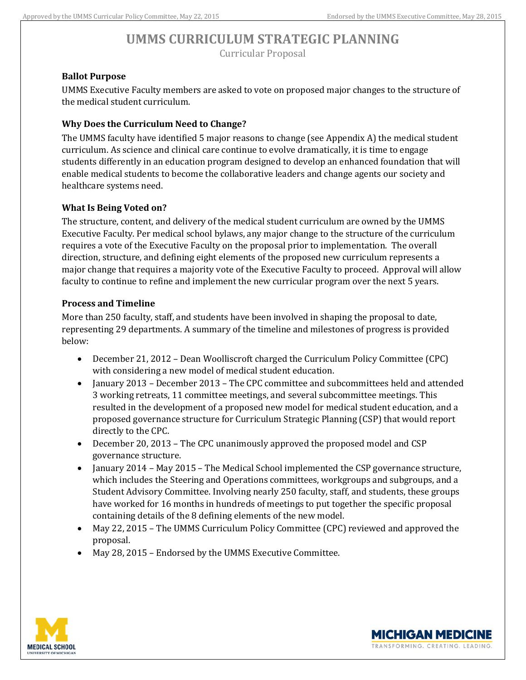#### **Ballot Purpose**

UMMS Executive Faculty members are asked to vote on proposed major changes to the structure of the medical student curriculum.

#### **Why Does the Curriculum Need to Change?**

The UMMS faculty have identified 5 major reasons to change (see Appendix A) the medical student curriculum. As science and clinical care continue to evolve dramatically, it is time to engage students differently in an education program designed to develop an enhanced foundation that will enable medical students to become the collaborative leaders and change agents our society and healthcare systems need.

#### **What Is Being Voted on?**

The structure, content, and delivery of the medical student curriculum are owned by the UMMS Executive Faculty. Per medical school bylaws, any major change to the structure of the curriculum requires a vote of the Executive Faculty on the proposal prior to implementation. The overall direction, structure, and defining eight elements of the proposed new curriculum represents a major change that requires a majority vote of the Executive Faculty to proceed. Approval will allow faculty to continue to refine and implement the new curricular program over the next 5 years.

#### **Process and Timeline**

More than 250 faculty, staff, and students have been involved in shaping the proposal to date, representing 29 departments. A summary of the timeline and milestones of progress is provided below:

- December 21, 2012 Dean Woolliscroft charged the Curriculum Policy Committee (CPC) with considering a new model of medical student education.
- January 2013 December 2013 The CPC committee and subcommittees held and attended 3 working retreats, 11 committee meetings, and several subcommittee meetings. This resulted in the development of a proposed new model for medical student education, and a proposed governance structure for Curriculum Strategic Planning (CSP) that would report directly to the CPC.
- December 20, 2013 The CPC unanimously approved the proposed model and CSP governance structure.
- January 2014 May 2015 The Medical School implemented the CSP governance structure, which includes the Steering and Operations committees, workgroups and subgroups, and a Student Advisory Committee. Involving nearly 250 faculty, staff, and students, these groups have worked for 16 months in hundreds of meetings to put together the specific proposal containing details of the 8 defining elements of the new model.
- May 22, 2015 The UMMS Curriculum Policy Committee (CPC) reviewed and approved the proposal.
- May 28, 2015 Endorsed by the UMMS Executive Committee.



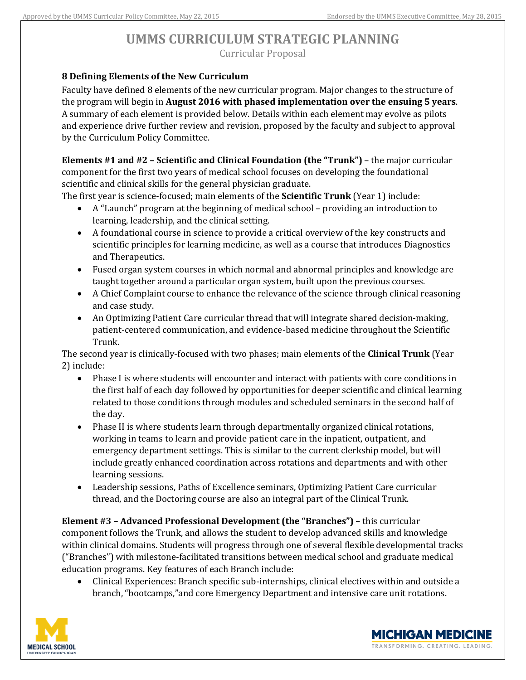#### **8 Defining Elements of the New Curriculum**

Faculty have defined 8 elements of the new curricular program. Major changes to the structure of the program will begin in **August 2016 with phased implementation over the ensuing 5 years**. A summary of each element is provided below. Details within each element may evolve as pilots and experience drive further review and revision, proposed by the faculty and subject to approval by the Curriculum Policy Committee.

**Elements #1 and #2 – Scientific and Clinical Foundation (the "Trunk")** – the major curricular component for the first two years of medical school focuses on developing the foundational scientific and clinical skills for the general physician graduate.

The first year is science-focused; main elements of the **Scientific Trunk** (Year 1) include:

- A "Launch" program at the beginning of medical school providing an introduction to learning, leadership, and the clinical setting.
- A foundational course in science to provide a critical overview of the key constructs and scientific principles for learning medicine, as well as a course that introduces Diagnostics and Therapeutics.
- Fused organ system courses in which normal and abnormal principles and knowledge are taught together around a particular organ system, built upon the previous courses.
- A Chief Complaint course to enhance the relevance of the science through clinical reasoning and case study.
- An Optimizing Patient Care curricular thread that will integrate shared decision-making, patient-centered communication, and evidence-based medicine throughout the Scientific Trunk.

The second year is clinically-focused with two phases; main elements of the **Clinical Trunk** (Year 2) include:

- Phase I is where students will encounter and interact with patients with core conditions in the first half of each day followed by opportunities for deeper scientific and clinical learning related to those conditions through modules and scheduled seminars in the second half of the day.
- Phase II is where students learn through departmentally organized clinical rotations, working in teams to learn and provide patient care in the inpatient, outpatient, and emergency department settings. This is similar to the current clerkship model, but will include greatly enhanced coordination across rotations and departments and with other learning sessions.
- Leadership sessions, Paths of Excellence seminars, Optimizing Patient Care curricular thread, and the Doctoring course are also an integral part of the Clinical Trunk.

**Element #3 – Advanced Professional Development (the "Branches")** – this curricular component follows the Trunk, and allows the student to develop advanced skills and knowledge within clinical domains. Students will progress through one of several flexible developmental tracks ("Branches") with milestone-facilitated transitions between medical school and graduate medical education programs. Key features of each Branch include:

 Clinical Experiences: Branch specific sub-internships, clinical electives within and outside a branch, "bootcamps,"and core Emergency Department and intensive care unit rotations.



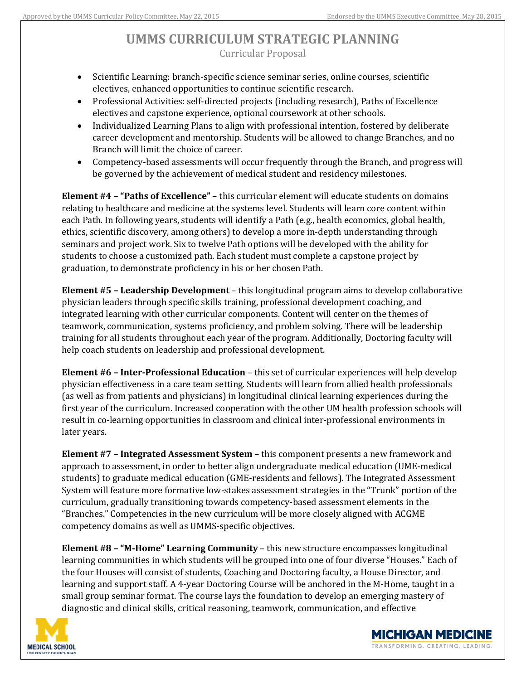- Scientific Learning: branch-specific science seminar series, online courses, scientific electives, enhanced opportunities to continue scientific research.
- Professional Activities: self-directed projects (including research), Paths of Excellence electives and capstone experience, optional coursework at other schools.
- Individualized Learning Plans to align with professional intention, fostered by deliberate career development and mentorship. Students will be allowed to change Branches, and no Branch will limit the choice of career.
- Competency-based assessments will occur frequently through the Branch, and progress will be governed by the achievement of medical student and residency milestones.

**Element #4 – "Paths of Excellence"** – this curricular element will educate students on domains relating to healthcare and medicine at the systems level. Students will learn core content within each Path. In following years, students will identify a Path (e.g., health economics, global health, ethics, scientific discovery, among others) to develop a more in-depth understanding through seminars and project work. Six to twelve Path options will be developed with the ability for students to choose a customized path. Each student must complete a capstone project by graduation, to demonstrate proficiency in his or her chosen Path.

**Element #5 – Leadership Development** – this longitudinal program aims to develop collaborative physician leaders through specific skills training, professional development coaching, and integrated learning with other curricular components. Content will center on the themes of teamwork, communication, systems proficiency, and problem solving. There will be leadership training for all students throughout each year of the program. Additionally, Doctoring faculty will help coach students on leadership and professional development.

**Element #6 – Inter-Professional Education** – this set of curricular experiences will help develop physician effectiveness in a care team setting. Students will learn from allied health professionals (as well as from patients and physicians) in longitudinal clinical learning experiences during the first year of the curriculum. Increased cooperation with the other UM health profession schools will result in co-learning opportunities in classroom and clinical inter-professional environments in later years.

**Element #7 – Integrated Assessment System** – this component presents a new framework and approach to assessment, in order to better align undergraduate medical education (UME-medical students) to graduate medical education (GME-residents and fellows). The Integrated Assessment System will feature more formative low-stakes assessment strategies in the "Trunk" portion of the curriculum, gradually transitioning towards competency-based assessment elements in the "Branches." Competencies in the new curriculum will be more closely aligned with ACGME competency domains as well as UMMS-specific objectives.

**Element #8 – "M-Home" Learning Community** – this new structure encompasses longitudinal learning communities in which students will be grouped into one of four diverse "Houses." Each of the four Houses will consist of students, Coaching and Doctoring faculty, a House Director, and learning and support staff. A 4-year Doctoring Course will be anchored in the M-Home, taught in a small group seminar format. The course lays the foundation to develop an emerging mastery of diagnostic and clinical skills, critical reasoning, teamwork, communication, and effective



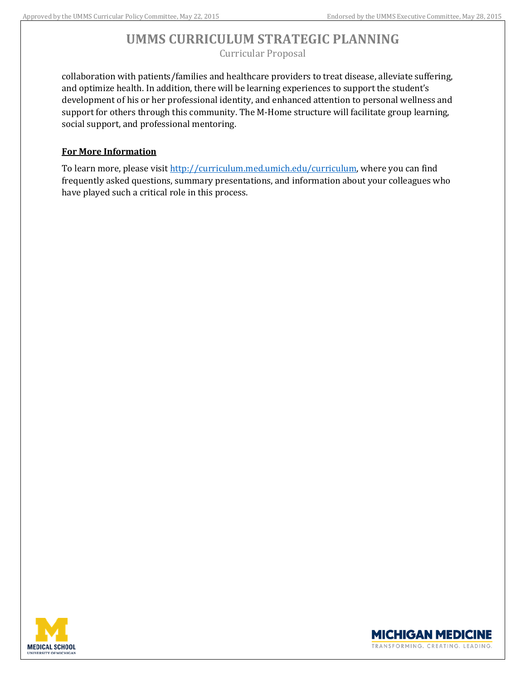collaboration with patients/families and healthcare providers to treat disease, alleviate suffering, and optimize health. In addition, there will be learning experiences to support the student's development of his or her professional identity, and enhanced attention to personal wellness and support for others through this community. The M-Home structure will facilitate group learning, social support, and professional mentoring.

### **For More Information**

To learn more, please visit [http://curriculum.med.umich.edu/curriculum,](http://curriculum.med.umich.edu/curriculum) where you can find frequently asked questions, summary presentations, and information about your colleagues who have played such a critical role in this process.